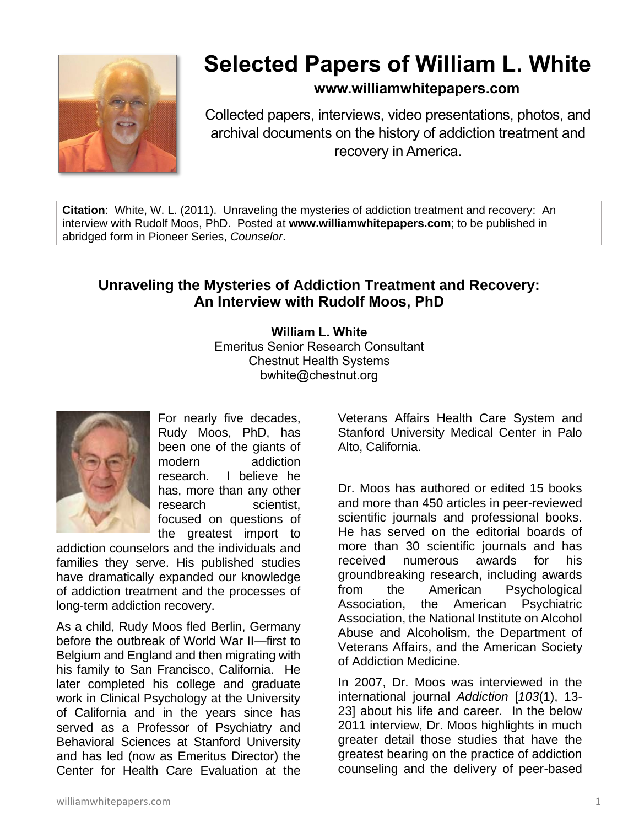

# **Selected Papers of William L. White**

# **www.williamwhitepapers.com**

Collected papers, interviews, video presentations, photos, and archival documents on the history of addiction treatment and recovery in America.

**Citation**: White, W. L. (2011). Unraveling the mysteries of addiction treatment and recovery: An interview with Rudolf Moos, PhD. Posted at **www.williamwhitepapers.com**; to be published in abridged form in Pioneer Series, *Counselor*.

# **Unraveling the Mysteries of Addiction Treatment and Recovery: An Interview with Rudolf Moos, PhD**

**William L. White** Emeritus Senior Research Consultant Chestnut Health Systems bwhite@chestnut.org



For nearly five decades, Rudy Moos, PhD, has been one of the giants of modern addiction research. I believe he has, more than any other research scientist, focused on questions of the greatest import to

addiction counselors and the individuals and families they serve. His published studies have dramatically expanded our knowledge of addiction treatment and the processes of long-term addiction recovery.

As a child, Rudy Moos fled Berlin, Germany before the outbreak of World War II—first to Belgium and England and then migrating with his family to San Francisco, California. He later completed his college and graduate work in Clinical Psychology at the University of California and in the years since has served as a Professor of Psychiatry and Behavioral Sciences at Stanford University and has led (now as Emeritus Director) the Center for Health Care Evaluation at the

Veterans Affairs Health Care System and Stanford University Medical Center in Palo Alto, California.

Dr. Moos has authored or edited 15 books and more than 450 articles in peer-reviewed scientific journals and professional books. He has served on the editorial boards of more than 30 scientific journals and has received numerous awards for his groundbreaking research, including awards from the American Psychological Association, the American Psychiatric Association, the National Institute on Alcohol Abuse and Alcoholism, the Department of Veterans Affairs, and the American Society of Addiction Medicine.

In 2007, Dr. Moos was interviewed in the international journal *Addiction* [*103*(1), 13- 23] about his life and career. In the below 2011 interview, Dr. Moos highlights in much greater detail those studies that have the greatest bearing on the practice of addiction counseling and the delivery of peer-based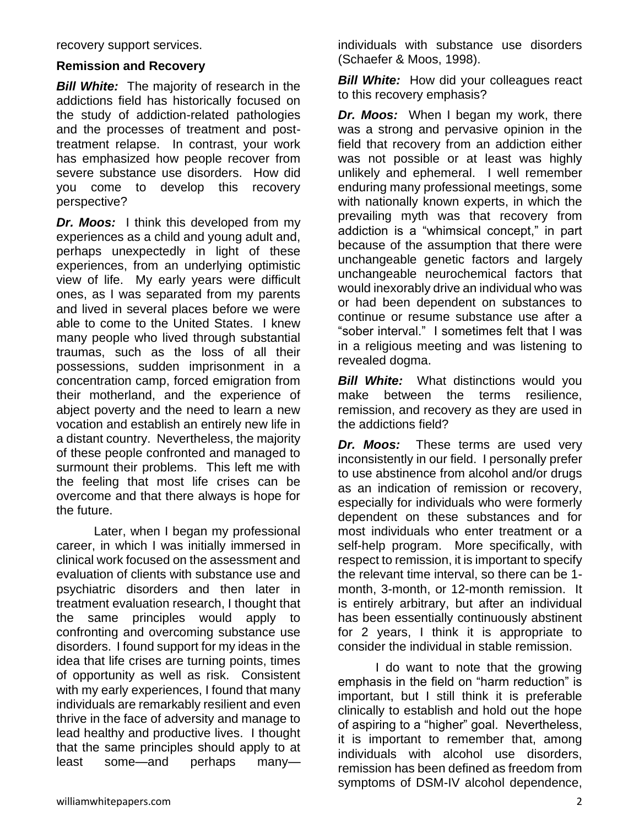recovery support services.

#### **Remission and Recovery**

**Bill White:** The majority of research in the addictions field has historically focused on the study of addiction-related pathologies and the processes of treatment and posttreatment relapse. In contrast, your work has emphasized how people recover from severe substance use disorders. How did you come to develop this recovery perspective?

*Dr. Moos:* I think this developed from my experiences as a child and young adult and, perhaps unexpectedly in light of these experiences, from an underlying optimistic view of life. My early years were difficult ones, as I was separated from my parents and lived in several places before we were able to come to the United States. I knew many people who lived through substantial traumas, such as the loss of all their possessions, sudden imprisonment in a concentration camp, forced emigration from their motherland, and the experience of abject poverty and the need to learn a new vocation and establish an entirely new life in a distant country. Nevertheless, the majority of these people confronted and managed to surmount their problems. This left me with the feeling that most life crises can be overcome and that there always is hope for the future.

Later, when I began my professional career, in which I was initially immersed in clinical work focused on the assessment and evaluation of clients with substance use and psychiatric disorders and then later in treatment evaluation research, I thought that the same principles would apply to confronting and overcoming substance use disorders. I found support for my ideas in the idea that life crises are turning points, times of opportunity as well as risk. Consistent with my early experiences, I found that many individuals are remarkably resilient and even thrive in the face of adversity and manage to lead healthy and productive lives. I thought that the same principles should apply to at least some—and perhaps manyindividuals with substance use disorders (Schaefer & Moos, 1998).

**Bill White:** How did your colleagues react to this recovery emphasis?

*Dr. Moos:*When I began my work, there was a strong and pervasive opinion in the field that recovery from an addiction either was not possible or at least was highly unlikely and ephemeral. I well remember enduring many professional meetings, some with nationally known experts, in which the prevailing myth was that recovery from addiction is a "whimsical concept," in part because of the assumption that there were unchangeable genetic factors and largely unchangeable neurochemical factors that would inexorably drive an individual who was or had been dependent on substances to continue or resume substance use after a "sober interval." I sometimes felt that I was in a religious meeting and was listening to revealed dogma.

*Bill White:* What distinctions would you make between the terms resilience, remission, and recovery as they are used in the addictions field?

*Dr. Moos:* These terms are used very inconsistently in our field. I personally prefer to use abstinence from alcohol and/or drugs as an indication of remission or recovery, especially for individuals who were formerly dependent on these substances and for most individuals who enter treatment or a self-help program. More specifically, with respect to remission, it is important to specify the relevant time interval, so there can be 1 month, 3-month, or 12-month remission. It is entirely arbitrary, but after an individual has been essentially continuously abstinent for 2 years, I think it is appropriate to consider the individual in stable remission.

I do want to note that the growing emphasis in the field on "harm reduction" is important, but I still think it is preferable clinically to establish and hold out the hope of aspiring to a "higher" goal. Nevertheless, it is important to remember that, among individuals with alcohol use disorders, remission has been defined as freedom from symptoms of DSM-IV alcohol dependence,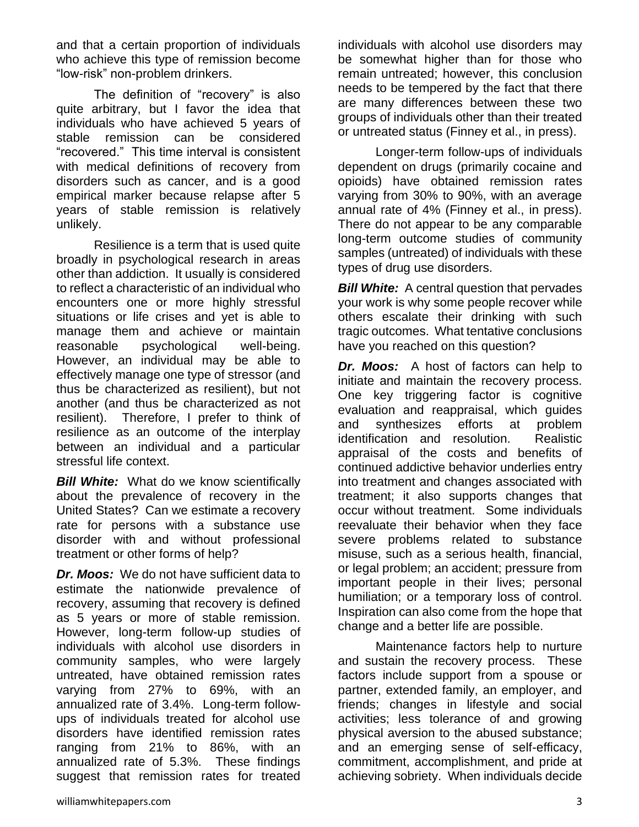and that a certain proportion of individuals who achieve this type of remission become "low-risk" non-problem drinkers.

The definition of "recovery" is also quite arbitrary, but I favor the idea that individuals who have achieved 5 years of stable remission can be considered "recovered." This time interval is consistent with medical definitions of recovery from disorders such as cancer, and is a good empirical marker because relapse after 5 years of stable remission is relatively unlikely.

Resilience is a term that is used quite broadly in psychological research in areas other than addiction. It usually is considered to reflect a characteristic of an individual who encounters one or more highly stressful situations or life crises and yet is able to manage them and achieve or maintain reasonable psychological well-being. However, an individual may be able to effectively manage one type of stressor (and thus be characterized as resilient), but not another (and thus be characterized as not resilient). Therefore, I prefer to think of resilience as an outcome of the interplay between an individual and a particular stressful life context.

**Bill White:** What do we know scientifically about the prevalence of recovery in the United States? Can we estimate a recovery rate for persons with a substance use disorder with and without professional treatment or other forms of help?

*Dr. Moos:* We do not have sufficient data to estimate the nationwide prevalence of recovery, assuming that recovery is defined as 5 years or more of stable remission. However, long-term follow-up studies of individuals with alcohol use disorders in community samples, who were largely untreated, have obtained remission rates varying from 27% to 69%, with an annualized rate of 3.4%. Long-term followups of individuals treated for alcohol use disorders have identified remission rates ranging from 21% to 86%, with an annualized rate of 5.3%. These findings suggest that remission rates for treated individuals with alcohol use disorders may be somewhat higher than for those who remain untreated; however, this conclusion needs to be tempered by the fact that there are many differences between these two groups of individuals other than their treated or untreated status (Finney et al., in press).

Longer-term follow-ups of individuals dependent on drugs (primarily cocaine and opioids) have obtained remission rates varying from 30% to 90%, with an average annual rate of 4% (Finney et al., in press). There do not appear to be any comparable long-term outcome studies of community samples (untreated) of individuals with these types of drug use disorders.

**Bill White:** A central question that pervades your work is why some people recover while others escalate their drinking with such tragic outcomes. What tentative conclusions have you reached on this question?

*Dr. Moos:* A host of factors can help to initiate and maintain the recovery process. One key triggering factor is cognitive evaluation and reappraisal, which guides and synthesizes efforts at problem identification and resolution. Realistic appraisal of the costs and benefits of continued addictive behavior underlies entry into treatment and changes associated with treatment; it also supports changes that occur without treatment. Some individuals reevaluate their behavior when they face severe problems related to substance misuse, such as a serious health, financial, or legal problem; an accident; pressure from important people in their lives; personal humiliation; or a temporary loss of control. Inspiration can also come from the hope that change and a better life are possible.

Maintenance factors help to nurture and sustain the recovery process. These factors include support from a spouse or partner, extended family, an employer, and friends; changes in lifestyle and social activities; less tolerance of and growing physical aversion to the abused substance; and an emerging sense of self-efficacy, commitment, accomplishment, and pride at achieving sobriety. When individuals decide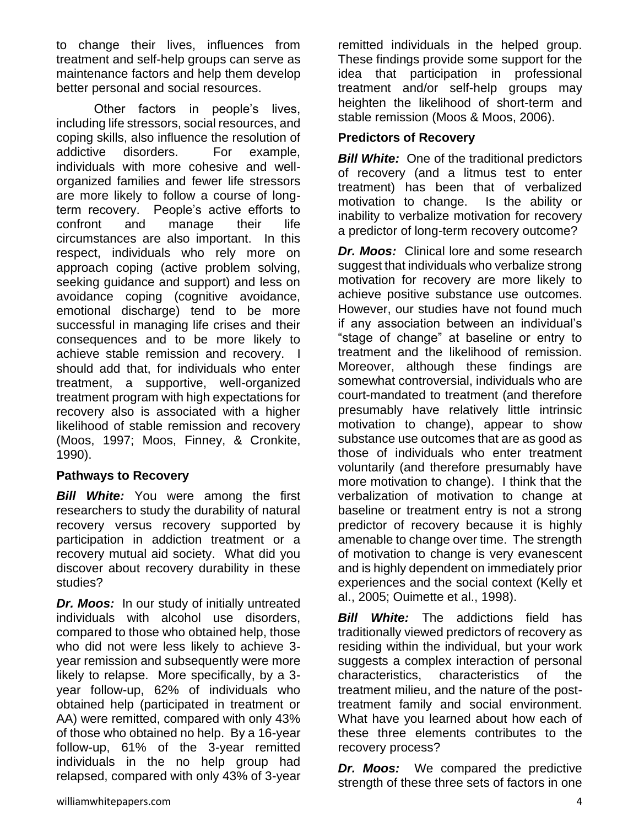to change their lives, influences from treatment and self-help groups can serve as maintenance factors and help them develop better personal and social resources.

Other factors in people's lives, including life stressors, social resources, and coping skills, also influence the resolution of addictive disorders. For example, individuals with more cohesive and wellorganized families and fewer life stressors are more likely to follow a course of longterm recovery. People's active efforts to confront and manage their life circumstances are also important. In this respect, individuals who rely more on approach coping (active problem solving, seeking guidance and support) and less on avoidance coping (cognitive avoidance, emotional discharge) tend to be more successful in managing life crises and their consequences and to be more likely to achieve stable remission and recovery. I should add that, for individuals who enter treatment, a supportive, well-organized treatment program with high expectations for recovery also is associated with a higher likelihood of stable remission and recovery (Moos, 1997; Moos, Finney, & Cronkite, 1990).

## **Pathways to Recovery**

*Bill White:* You were among the first researchers to study the durability of natural recovery versus recovery supported by participation in addiction treatment or a recovery mutual aid society. What did you discover about recovery durability in these studies?

*Dr. Moos:* In our study of initially untreated individuals with alcohol use disorders, compared to those who obtained help, those who did not were less likely to achieve 3 year remission and subsequently were more likely to relapse. More specifically, by a 3 year follow-up, 62% of individuals who obtained help (participated in treatment or AA) were remitted, compared with only 43% of those who obtained no help. By a 16-year follow-up, 61% of the 3-year remitted individuals in the no help group had relapsed, compared with only 43% of 3-year

remitted individuals in the helped group. These findings provide some support for the idea that participation in professional treatment and/or self-help groups may heighten the likelihood of short-term and stable remission (Moos & Moos, 2006).

## **Predictors of Recovery**

**Bill White:** One of the traditional predictors of recovery (and a litmus test to enter treatment) has been that of verbalized motivation to change. Is the ability or inability to verbalize motivation for recovery a predictor of long-term recovery outcome?

*Dr. Moos:* Clinical lore and some research suggest that individuals who verbalize strong motivation for recovery are more likely to achieve positive substance use outcomes. However, our studies have not found much if any association between an individual's "stage of change" at baseline or entry to treatment and the likelihood of remission. Moreover, although these findings are somewhat controversial, individuals who are court-mandated to treatment (and therefore presumably have relatively little intrinsic motivation to change), appear to show substance use outcomes that are as good as those of individuals who enter treatment voluntarily (and therefore presumably have more motivation to change). I think that the verbalization of motivation to change at baseline or treatment entry is not a strong predictor of recovery because it is highly amenable to change over time. The strength of motivation to change is very evanescent and is highly dependent on immediately prior experiences and the social context (Kelly et al., 2005; Ouimette et al., 1998).

*Bill White:* The addictions field has traditionally viewed predictors of recovery as residing within the individual, but your work suggests a complex interaction of personal characteristics, characteristics of the treatment milieu, and the nature of the posttreatment family and social environment. What have you learned about how each of these three elements contributes to the recovery process?

*Dr. Moos:* We compared the predictive strength of these three sets of factors in one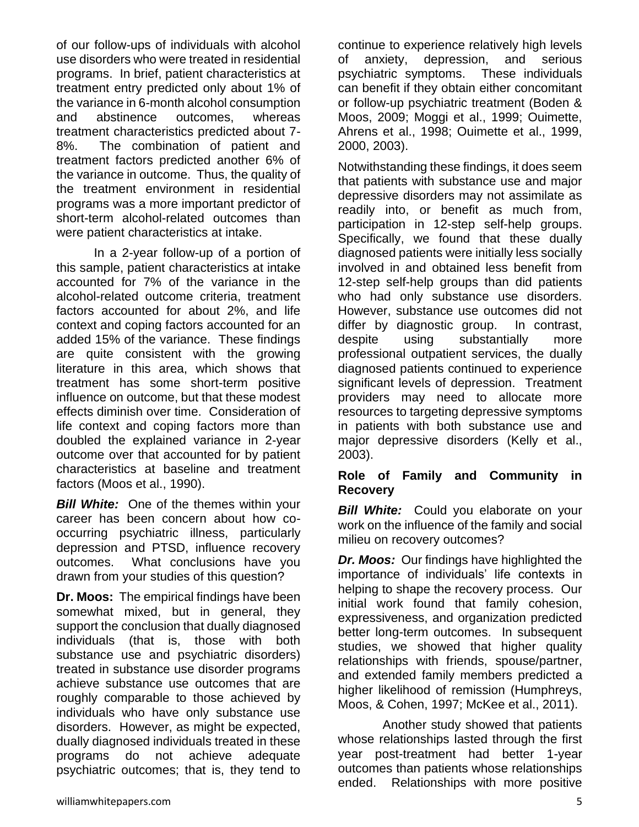of our follow-ups of individuals with alcohol use disorders who were treated in residential programs. In brief, patient characteristics at treatment entry predicted only about 1% of the variance in 6-month alcohol consumption and abstinence outcomes, whereas treatment characteristics predicted about 7- 8%. The combination of patient and treatment factors predicted another 6% of the variance in outcome. Thus, the quality of the treatment environment in residential programs was a more important predictor of short-term alcohol-related outcomes than were patient characteristics at intake.

In a 2-year follow-up of a portion of this sample, patient characteristics at intake accounted for 7% of the variance in the alcohol-related outcome criteria, treatment factors accounted for about 2%, and life context and coping factors accounted for an added 15% of the variance. These findings are quite consistent with the growing literature in this area, which shows that treatment has some short-term positive influence on outcome, but that these modest effects diminish over time. Consideration of life context and coping factors more than doubled the explained variance in 2-year outcome over that accounted for by patient characteristics at baseline and treatment factors (Moos et al., 1990).

**Bill White:** One of the themes within your career has been concern about how cooccurring psychiatric illness, particularly depression and PTSD, influence recovery outcomes. What conclusions have you drawn from your studies of this question?

**Dr. Moos:** The empirical findings have been somewhat mixed, but in general, they support the conclusion that dually diagnosed individuals (that is, those with both substance use and psychiatric disorders) treated in substance use disorder programs achieve substance use outcomes that are roughly comparable to those achieved by individuals who have only substance use disorders. However, as might be expected, dually diagnosed individuals treated in these programs do not achieve adequate psychiatric outcomes; that is, they tend to

continue to experience relatively high levels of anxiety, depression, and serious psychiatric symptoms. These individuals can benefit if they obtain either concomitant or follow-up psychiatric treatment (Boden & Moos, 2009; Moggi et al., 1999; Ouimette, Ahrens et al., 1998; Ouimette et al., 1999, 2000, 2003).

Notwithstanding these findings, it does seem that patients with substance use and major depressive disorders may not assimilate as readily into, or benefit as much from, participation in 12-step self-help groups. Specifically, we found that these dually diagnosed patients were initially less socially involved in and obtained less benefit from 12-step self-help groups than did patients who had only substance use disorders. However, substance use outcomes did not differ by diagnostic group. In contrast, despite using substantially more professional outpatient services, the dually diagnosed patients continued to experience significant levels of depression. Treatment providers may need to allocate more resources to targeting depressive symptoms in patients with both substance use and major depressive disorders (Kelly et al., 2003).

## **Role of Family and Community in Recovery**

**Bill White:** Could you elaborate on your work on the influence of the family and social milieu on recovery outcomes?

*Dr. Moos:* Our findings have highlighted the importance of individuals' life contexts in helping to shape the recovery process. Our initial work found that family cohesion, expressiveness, and organization predicted better long-term outcomes. In subsequent studies, we showed that higher quality relationships with friends, spouse/partner, and extended family members predicted a higher likelihood of remission (Humphreys, Moos, & Cohen, 1997; McKee et al., 2011).

 Another study showed that patients whose relationships lasted through the first year post-treatment had better 1-year outcomes than patients whose relationships ended. Relationships with more positive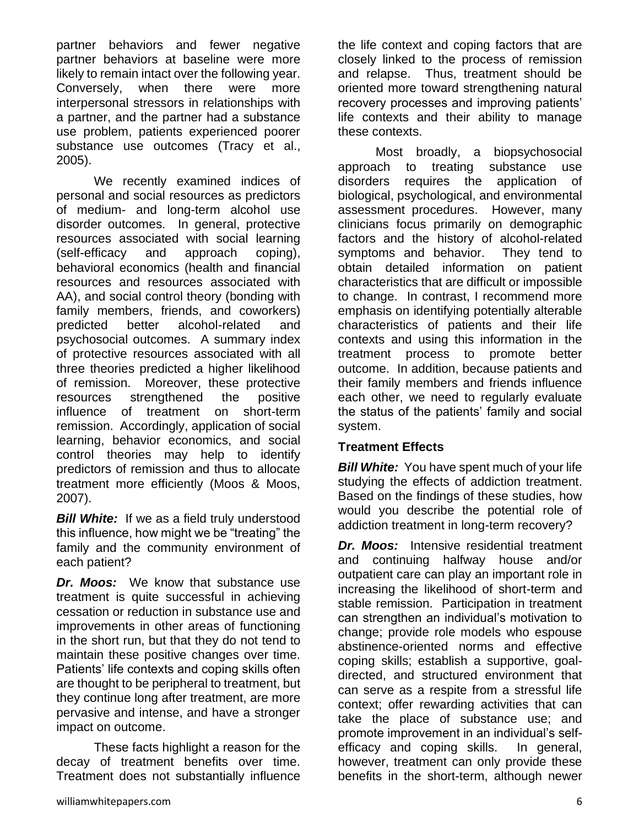partner behaviors and fewer negative partner behaviors at baseline were more likely to remain intact over the following year. Conversely, when there were more interpersonal stressors in relationships with a partner, and the partner had a substance use problem, patients experienced poorer substance use outcomes (Tracy et al., 2005).

We recently examined indices of personal and social resources as predictors of medium- and long-term alcohol use disorder outcomes. In general, protective resources associated with social learning (self-efficacy and approach coping), behavioral economics (health and financial resources and resources associated with AA), and social control theory (bonding with family members, friends, and coworkers) predicted better alcohol-related and psychosocial outcomes. A summary index of protective resources associated with all three theories predicted a higher likelihood of remission. Moreover, these protective resources strengthened the positive influence of treatment on short-term remission. Accordingly, application of social learning, behavior economics, and social control theories may help to identify predictors of remission and thus to allocate treatment more efficiently (Moos & Moos, 2007).

**Bill White:** If we as a field truly understood this influence, how might we be "treating" the family and the community environment of each patient?

*Dr. Moos:* We know that substance use treatment is quite successful in achieving cessation or reduction in substance use and improvements in other areas of functioning in the short run, but that they do not tend to maintain these positive changes over time. Patients' life contexts and coping skills often are thought to be peripheral to treatment, but they continue long after treatment, are more pervasive and intense, and have a stronger impact on outcome.

These facts highlight a reason for the decay of treatment benefits over time. Treatment does not substantially influence

the life context and coping factors that are closely linked to the process of remission and relapse. Thus, treatment should be oriented more toward strengthening natural recovery processes and improving patients' life contexts and their ability to manage these contexts.

Most broadly, a biopsychosocial approach to treating substance use disorders requires the application of biological, psychological, and environmental assessment procedures. However, many clinicians focus primarily on demographic factors and the history of alcohol-related symptoms and behavior. They tend to obtain detailed information on patient characteristics that are difficult or impossible to change. In contrast, I recommend more emphasis on identifying potentially alterable characteristics of patients and their life contexts and using this information in the treatment process to promote better outcome. In addition, because patients and their family members and friends influence each other, we need to regularly evaluate the status of the patients' family and social system.

# **Treatment Effects**

*Bill White:* You have spent much of your life studying the effects of addiction treatment. Based on the findings of these studies, how would you describe the potential role of addiction treatment in long-term recovery?

*Dr. Moos:* Intensive residential treatment and continuing halfway house and/or outpatient care can play an important role in increasing the likelihood of short-term and stable remission. Participation in treatment can strengthen an individual's motivation to change; provide role models who espouse abstinence-oriented norms and effective coping skills; establish a supportive, goaldirected, and structured environment that can serve as a respite from a stressful life context; offer rewarding activities that can take the place of substance use; and promote improvement in an individual's selfefficacy and coping skills. In general, however, treatment can only provide these benefits in the short-term, although newer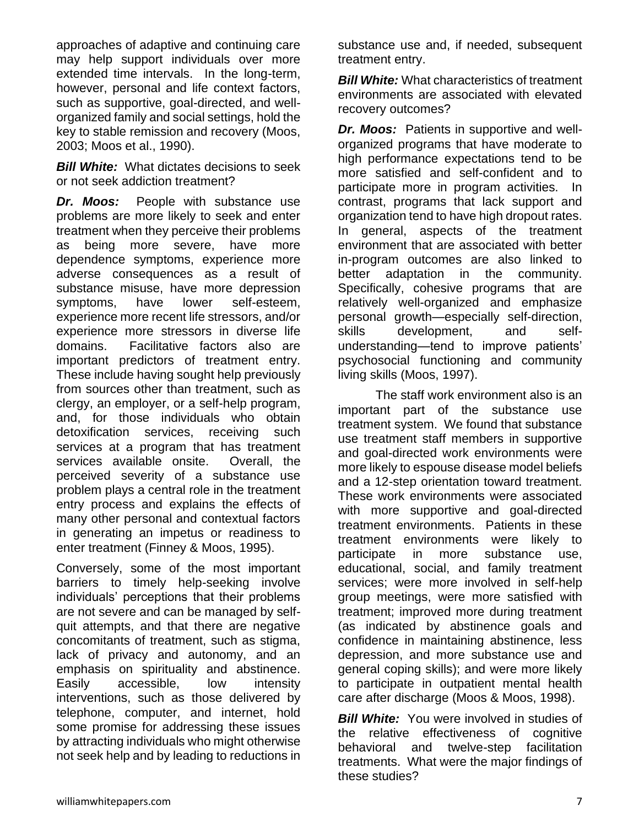approaches of adaptive and continuing care may help support individuals over more extended time intervals. In the long-term, however, personal and life context factors, such as supportive, goal-directed, and wellorganized family and social settings, hold the key to stable remission and recovery (Moos, 2003; Moos et al., 1990).

*Bill White:*What dictates decisions to seek or not seek addiction treatment?

*Dr. Moos:* People with substance use problems are more likely to seek and enter treatment when they perceive their problems as being more severe, have more dependence symptoms, experience more adverse consequences as a result of substance misuse, have more depression symptoms, have lower self-esteem, experience more recent life stressors, and/or experience more stressors in diverse life domains. Facilitative factors also are important predictors of treatment entry. These include having sought help previously from sources other than treatment, such as clergy, an employer, or a self-help program, and, for those individuals who obtain detoxification services, receiving such services at a program that has treatment services available onsite. Overall, the perceived severity of a substance use problem plays a central role in the treatment entry process and explains the effects of many other personal and contextual factors in generating an impetus or readiness to enter treatment (Finney & Moos, 1995).

Conversely, some of the most important barriers to timely help-seeking involve individuals' perceptions that their problems are not severe and can be managed by selfquit attempts, and that there are negative concomitants of treatment, such as stigma, lack of privacy and autonomy, and an emphasis on spirituality and abstinence. Easily accessible, low intensity interventions, such as those delivered by telephone, computer, and internet, hold some promise for addressing these issues by attracting individuals who might otherwise not seek help and by leading to reductions in substance use and, if needed, subsequent treatment entry.

*Bill White:* What characteristics of treatment environments are associated with elevated recovery outcomes?

*Dr. Moos:* Patients in supportive and wellorganized programs that have moderate to high performance expectations tend to be more satisfied and self-confident and to participate more in program activities. In contrast, programs that lack support and organization tend to have high dropout rates. In general, aspects of the treatment environment that are associated with better in-program outcomes are also linked to better adaptation in the community. Specifically, cohesive programs that are relatively well-organized and emphasize personal growth—especially self-direction, skills development, and selfunderstanding—tend to improve patients' psychosocial functioning and community living skills (Moos, 1997).

The staff work environment also is an important part of the substance use treatment system. We found that substance use treatment staff members in supportive and goal-directed work environments were more likely to espouse disease model beliefs and a 12-step orientation toward treatment. These work environments were associated with more supportive and goal-directed treatment environments. Patients in these treatment environments were likely to participate in more substance use, educational, social, and family treatment services; were more involved in self-help group meetings, were more satisfied with treatment; improved more during treatment (as indicated by abstinence goals and confidence in maintaining abstinence, less depression, and more substance use and general coping skills); and were more likely to participate in outpatient mental health care after discharge (Moos & Moos, 1998).

**Bill White:** You were involved in studies of the relative effectiveness of cognitive behavioral and twelve-step facilitation treatments. What were the major findings of these studies?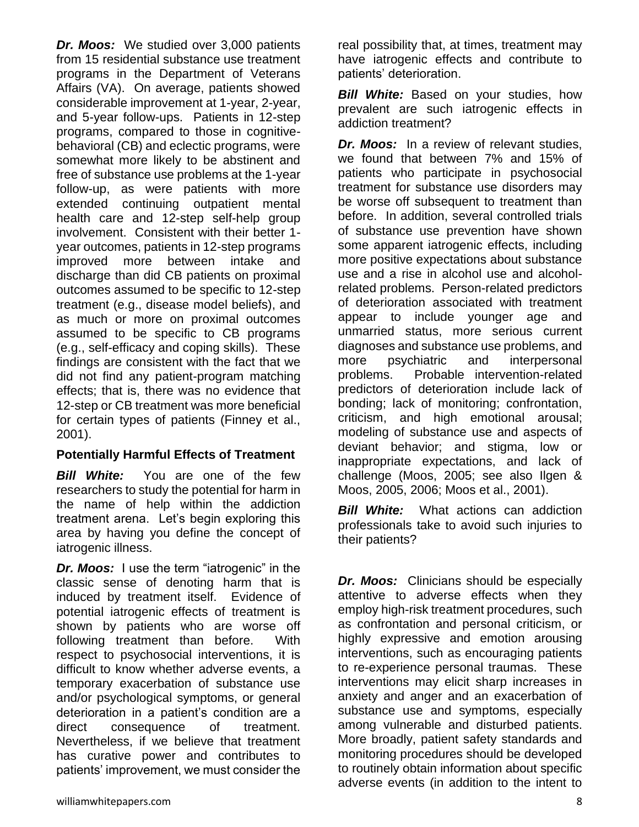*Dr. Moos:* We studied over 3,000 patients from 15 residential substance use treatment programs in the Department of Veterans Affairs (VA). On average, patients showed considerable improvement at 1-year, 2-year, and 5-year follow-ups. Patients in 12-step programs, compared to those in cognitivebehavioral (CB) and eclectic programs, were somewhat more likely to be abstinent and free of substance use problems at the 1-year follow-up, as were patients with more extended continuing outpatient mental health care and 12-step self-help group involvement. Consistent with their better 1 year outcomes, patients in 12-step programs improved more between intake and discharge than did CB patients on proximal outcomes assumed to be specific to 12-step treatment (e.g., disease model beliefs), and as much or more on proximal outcomes assumed to be specific to CB programs (e.g., self-efficacy and coping skills). These findings are consistent with the fact that we did not find any patient-program matching effects; that is, there was no evidence that 12-step or CB treatment was more beneficial for certain types of patients (Finney et al., 2001).

# **Potentially Harmful Effects of Treatment**

*Bill White:*You are one of the few researchers to study the potential for harm in the name of help within the addiction treatment arena. Let's begin exploring this area by having you define the concept of iatrogenic illness.

**Dr. Moos:** I use the term "iatrogenic" in the classic sense of denoting harm that is induced by treatment itself. Evidence of potential iatrogenic effects of treatment is shown by patients who are worse off following treatment than before. With respect to psychosocial interventions, it is difficult to know whether adverse events, a temporary exacerbation of substance use and/or psychological symptoms, or general deterioration in a patient's condition are a direct consequence of treatment. Nevertheless, if we believe that treatment has curative power and contributes to patients' improvement, we must consider the

**Bill White:** Based on your studies, how prevalent are such iatrogenic effects in addiction treatment?

*Dr. Moos:*In a review of relevant studies, we found that between 7% and 15% of patients who participate in psychosocial treatment for substance use disorders may be worse off subsequent to treatment than before. In addition, several controlled trials of substance use prevention have shown some apparent iatrogenic effects, including more positive expectations about substance use and a rise in alcohol use and alcoholrelated problems. Person-related predictors of deterioration associated with treatment appear to include younger age and unmarried status, more serious current diagnoses and substance use problems, and more psychiatric and interpersonal problems. Probable intervention-related predictors of deterioration include lack of bonding; lack of monitoring; confrontation, criticism, and high emotional arousal; modeling of substance use and aspects of deviant behavior; and stigma, low or inappropriate expectations, and lack of challenge (Moos, 2005; see also Ilgen & Moos, 2005, 2006; Moos et al., 2001).

*Bill White:* What actions can addiction professionals take to avoid such injuries to their patients?

*Dr. Moos:* Clinicians should be especially attentive to adverse effects when they employ high-risk treatment procedures, such as confrontation and personal criticism, or highly expressive and emotion arousing interventions, such as encouraging patients to re-experience personal traumas. These interventions may elicit sharp increases in anxiety and anger and an exacerbation of substance use and symptoms, especially among vulnerable and disturbed patients. More broadly, patient safety standards and monitoring procedures should be developed to routinely obtain information about specific adverse events (in addition to the intent to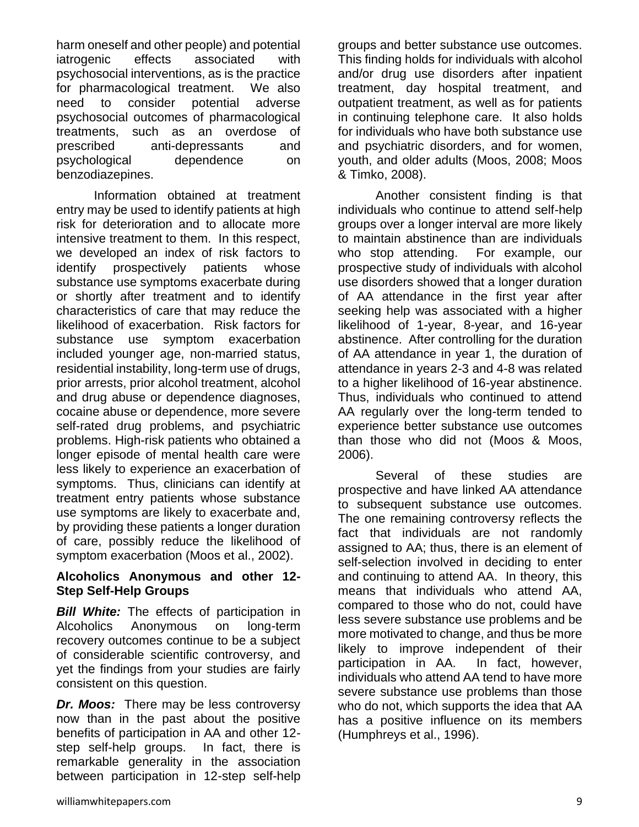harm oneself and other people) and potential iatrogenic effects associated with psychosocial interventions, as is the practice for pharmacological treatment. We also need to consider potential adverse psychosocial outcomes of pharmacological treatments, such as an overdose of prescribed anti-depressants and psychological dependence on benzodiazepines.

Information obtained at treatment entry may be used to identify patients at high risk for deterioration and to allocate more intensive treatment to them. In this respect, we developed an index of risk factors to identify prospectively patients whose substance use symptoms exacerbate during or shortly after treatment and to identify characteristics of care that may reduce the likelihood of exacerbation. Risk factors for substance use symptom exacerbation included younger age, non-married status, residential instability, long-term use of drugs, prior arrests, prior alcohol treatment, alcohol and drug abuse or dependence diagnoses, cocaine abuse or dependence, more severe self-rated drug problems, and psychiatric problems. High-risk patients who obtained a longer episode of mental health care were less likely to experience an exacerbation of symptoms. Thus, clinicians can identify at treatment entry patients whose substance use symptoms are likely to exacerbate and, by providing these patients a longer duration of care, possibly reduce the likelihood of symptom exacerbation (Moos et al., 2002).

## **Alcoholics Anonymous and other 12- Step Self-Help Groups**

*Bill White:* The effects of participation in Alcoholics Anonymous on long-term recovery outcomes continue to be a subject of considerable scientific controversy, and yet the findings from your studies are fairly consistent on this question.

*Dr. Moos:* There may be less controversy now than in the past about the positive benefits of participation in AA and other 12 step self-help groups. In fact, there is remarkable generality in the association between participation in 12-step self-help

groups and better substance use outcomes. This finding holds for individuals with alcohol and/or drug use disorders after inpatient treatment, day hospital treatment, and outpatient treatment, as well as for patients in continuing telephone care. It also holds for individuals who have both substance use and psychiatric disorders, and for women, youth, and older adults (Moos, 2008; Moos & Timko, 2008).

Another consistent finding is that individuals who continue to attend self-help groups over a longer interval are more likely to maintain abstinence than are individuals who stop attending. For example, our prospective study of individuals with alcohol use disorders showed that a longer duration of AA attendance in the first year after seeking help was associated with a higher likelihood of 1-year, 8-year, and 16-year abstinence. After controlling for the duration of AA attendance in year 1, the duration of attendance in years 2-3 and 4-8 was related to a higher likelihood of 16-year abstinence. Thus, individuals who continued to attend AA regularly over the long-term tended to experience better substance use outcomes than those who did not (Moos & Moos, 2006).

Several of these studies are prospective and have linked AA attendance to subsequent substance use outcomes. The one remaining controversy reflects the fact that individuals are not randomly assigned to AA; thus, there is an element of self-selection involved in deciding to enter and continuing to attend AA. In theory, this means that individuals who attend AA, compared to those who do not, could have less severe substance use problems and be more motivated to change, and thus be more likely to improve independent of their participation in AA. In fact, however, individuals who attend AA tend to have more severe substance use problems than those who do not, which supports the idea that AA has a positive influence on its members (Humphreys et al., 1996).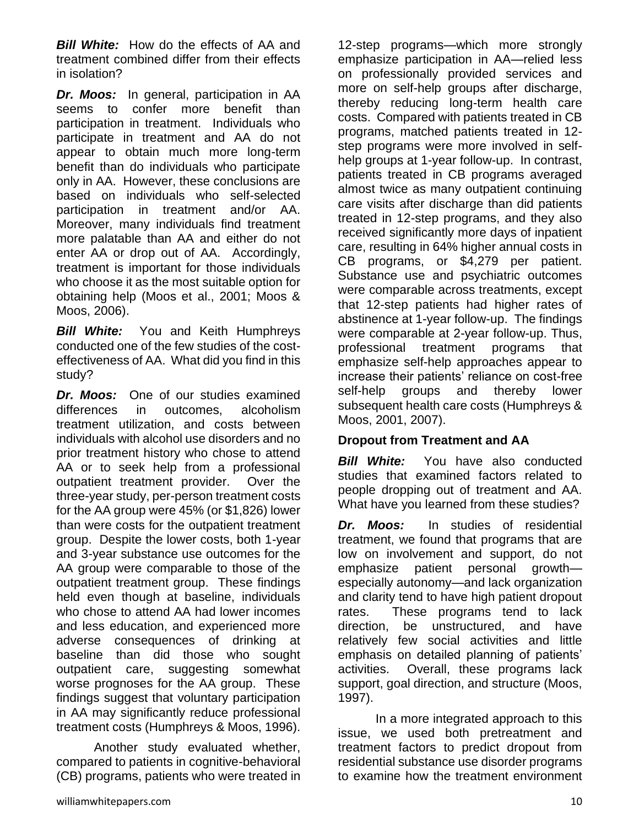*Bill White:* How do the effects of AA and treatment combined differ from their effects in isolation?

*Dr. Moos:* In general, participation in AA seems to confer more benefit than participation in treatment. Individuals who participate in treatment and AA do not appear to obtain much more long-term benefit than do individuals who participate only in AA. However, these conclusions are based on individuals who self-selected participation in treatment and/or AA. Moreover, many individuals find treatment more palatable than AA and either do not enter AA or drop out of AA. Accordingly, treatment is important for those individuals who choose it as the most suitable option for obtaining help (Moos et al., 2001; Moos & Moos, 2006).

*Bill White:*You and Keith Humphreys conducted one of the few studies of the costeffectiveness of AA. What did you find in this study?

*Dr. Moos:* One of our studies examined differences in outcomes, alcoholism treatment utilization, and costs between individuals with alcohol use disorders and no prior treatment history who chose to attend AA or to seek help from a professional outpatient treatment provider. Over the three-year study, per-person treatment costs for the AA group were 45% (or \$1,826) lower than were costs for the outpatient treatment group. Despite the lower costs, both 1-year and 3-year substance use outcomes for the AA group were comparable to those of the outpatient treatment group. These findings held even though at baseline, individuals who chose to attend AA had lower incomes and less education, and experienced more adverse consequences of drinking at baseline than did those who sought outpatient care, suggesting somewhat worse prognoses for the AA group. These findings suggest that voluntary participation in AA may significantly reduce professional treatment costs (Humphreys & Moos, 1996).

Another study evaluated whether, compared to patients in cognitive-behavioral (CB) programs, patients who were treated in

12-step programs—which more strongly emphasize participation in AA—relied less on professionally provided services and more on self-help groups after discharge, thereby reducing long-term health care costs. Compared with patients treated in CB programs, matched patients treated in 12 step programs were more involved in selfhelp groups at 1-year follow-up. In contrast, patients treated in CB programs averaged almost twice as many outpatient continuing care visits after discharge than did patients treated in 12-step programs, and they also received significantly more days of inpatient care, resulting in 64% higher annual costs in CB programs, or \$4,279 per patient. Substance use and psychiatric outcomes were comparable across treatments, except that 12-step patients had higher rates of abstinence at 1-year follow-up. The findings were comparable at 2-year follow-up. Thus, professional treatment programs that emphasize self-help approaches appear to increase their patients' reliance on cost-free self-help groups and thereby lower subsequent health care costs (Humphreys & Moos, 2001, 2007).

# **Dropout from Treatment and AA**

*Bill White:* You have also conducted studies that examined factors related to people dropping out of treatment and AA. What have you learned from these studies?

*Dr. Moos:* In studies of residential treatment, we found that programs that are low on involvement and support, do not emphasize patient personal growth especially autonomy—and lack organization and clarity tend to have high patient dropout rates. These programs tend to lack direction, be unstructured, and have relatively few social activities and little emphasis on detailed planning of patients' activities. Overall, these programs lack support, goal direction, and structure (Moos, 1997).

In a more integrated approach to this issue, we used both pretreatment and treatment factors to predict dropout from residential substance use disorder programs to examine how the treatment environment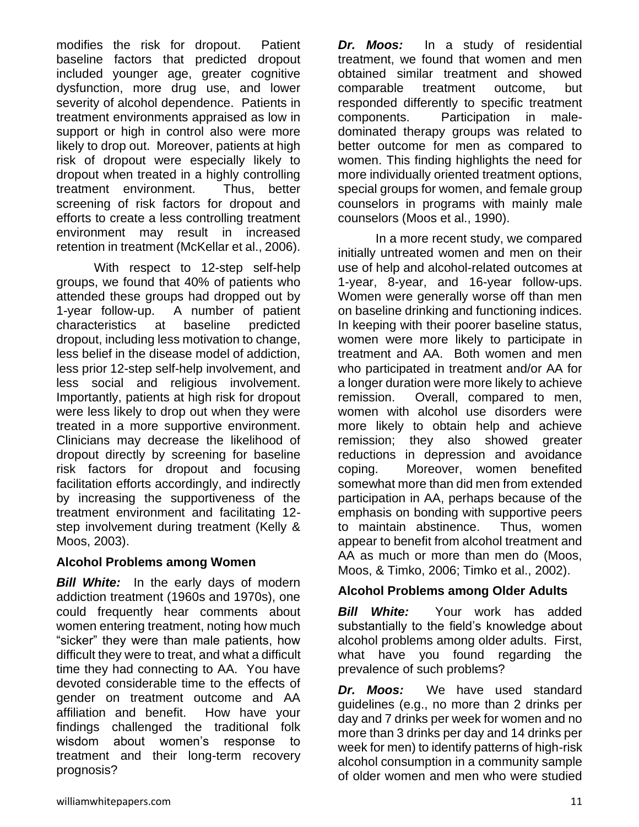modifies the risk for dropout. Patient baseline factors that predicted dropout included younger age, greater cognitive dysfunction, more drug use, and lower severity of alcohol dependence. Patients in treatment environments appraised as low in support or high in control also were more likely to drop out. Moreover, patients at high risk of dropout were especially likely to dropout when treated in a highly controlling treatment environment. Thus, better screening of risk factors for dropout and efforts to create a less controlling treatment environment may result in increased retention in treatment (McKellar et al., 2006).

With respect to 12-step self-help groups, we found that 40% of patients who attended these groups had dropped out by 1-year follow-up. A number of patient characteristics at baseline predicted dropout, including less motivation to change, less belief in the disease model of addiction, less prior 12-step self-help involvement, and less social and religious involvement. Importantly, patients at high risk for dropout were less likely to drop out when they were treated in a more supportive environment. Clinicians may decrease the likelihood of dropout directly by screening for baseline risk factors for dropout and focusing facilitation efforts accordingly, and indirectly by increasing the supportiveness of the treatment environment and facilitating 12 step involvement during treatment (Kelly & Moos, 2003).

# **Alcohol Problems among Women**

**Bill White:** In the early days of modern addiction treatment (1960s and 1970s), one could frequently hear comments about women entering treatment, noting how much "sicker" they were than male patients, how difficult they were to treat, and what a difficult time they had connecting to AA. You have devoted considerable time to the effects of gender on treatment outcome and AA affiliation and benefit. How have your findings challenged the traditional folk wisdom about women's response to treatment and their long-term recovery prognosis?

*Dr. Moos:* In a study of residential treatment, we found that women and men obtained similar treatment and showed comparable treatment outcome, but responded differently to specific treatment components. Participation in maledominated therapy groups was related to better outcome for men as compared to women. This finding highlights the need for more individually oriented treatment options, special groups for women, and female group counselors in programs with mainly male counselors (Moos et al., 1990).

In a more recent study, we compared initially untreated women and men on their use of help and alcohol-related outcomes at 1-year, 8-year, and 16-year follow-ups. Women were generally worse off than men on baseline drinking and functioning indices. In keeping with their poorer baseline status, women were more likely to participate in treatment and AA. Both women and men who participated in treatment and/or AA for a longer duration were more likely to achieve remission. Overall, compared to men, women with alcohol use disorders were more likely to obtain help and achieve remission; they also showed greater reductions in depression and avoidance coping. Moreover, women benefited somewhat more than did men from extended participation in AA, perhaps because of the emphasis on bonding with supportive peers to maintain abstinence. Thus, women appear to benefit from alcohol treatment and AA as much or more than men do (Moos, Moos, & Timko, 2006; Timko et al., 2002).

# **Alcohol Problems among Older Adults**

*Bill White:*Your work has added substantially to the field's knowledge about alcohol problems among older adults. First, what have you found regarding the prevalence of such problems?

*Dr. Moos:* We have used standard guidelines (e.g., no more than 2 drinks per day and 7 drinks per week for women and no more than 3 drinks per day and 14 drinks per week for men) to identify patterns of high-risk alcohol consumption in a community sample of older women and men who were studied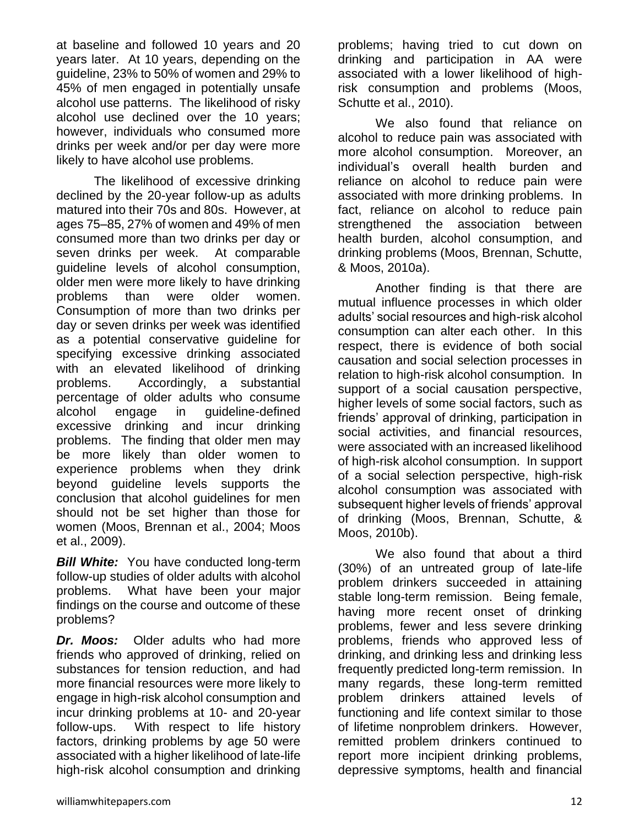at baseline and followed 10 years and 20 years later. At 10 years, depending on the guideline, 23% to 50% of women and 29% to 45% of men engaged in potentially unsafe alcohol use patterns. The likelihood of risky alcohol use declined over the 10 years; however, individuals who consumed more drinks per week and/or per day were more likely to have alcohol use problems.

The likelihood of excessive drinking declined by the 20-year follow-up as adults matured into their 70s and 80s. However, at ages 75–85, 27% of women and 49% of men consumed more than two drinks per day or seven drinks per week. At comparable guideline levels of alcohol consumption, older men were more likely to have drinking problems than were older women. Consumption of more than two drinks per day or seven drinks per week was identified as a potential conservative guideline for specifying excessive drinking associated with an elevated likelihood of drinking problems. Accordingly, a substantial percentage of older adults who consume alcohol engage in guideline-defined excessive drinking and incur drinking problems. The finding that older men may be more likely than older women to experience problems when they drink beyond guideline levels supports the conclusion that alcohol guidelines for men should not be set higher than those for women (Moos, Brennan et al., 2004; Moos et al., 2009).

*Bill White:* You have conducted long-term follow-up studies of older adults with alcohol problems. What have been your major findings on the course and outcome of these problems?

*Dr. Moos:* Older adults who had more friends who approved of drinking, relied on substances for tension reduction, and had more financial resources were more likely to engage in high-risk alcohol consumption and incur drinking problems at 10- and 20-year follow-ups. With respect to life history factors, drinking problems by age 50 were associated with a higher likelihood of late-life high-risk alcohol consumption and drinking

problems; having tried to cut down on drinking and participation in AA were associated with a lower likelihood of highrisk consumption and problems (Moos, Schutte et al., 2010).

We also found that reliance on alcohol to reduce pain was associated with more alcohol consumption. Moreover, an individual's overall health burden and reliance on alcohol to reduce pain were associated with more drinking problems. In fact, reliance on alcohol to reduce pain strengthened the association between health burden, alcohol consumption, and drinking problems (Moos, Brennan, Schutte, & Moos, 2010a).

Another finding is that there are mutual influence processes in which older adults' social resources and high-risk alcohol consumption can alter each other. In this respect, there is evidence of both social causation and social selection processes in relation to high-risk alcohol consumption. In support of a social causation perspective, higher levels of some social factors, such as friends' approval of drinking, participation in social activities, and financial resources, were associated with an increased likelihood of high-risk alcohol consumption. In support of a social selection perspective, high-risk alcohol consumption was associated with subsequent higher levels of friends' approval of drinking (Moos, Brennan, Schutte, & Moos, 2010b).

We also found that about a third (30%) of an untreated group of late-life problem drinkers succeeded in attaining stable long-term remission. Being female, having more recent onset of drinking problems, fewer and less severe drinking problems, friends who approved less of drinking, and drinking less and drinking less frequently predicted long-term remission. In many regards, these long-term remitted problem drinkers attained levels of functioning and life context similar to those of lifetime nonproblem drinkers. However, remitted problem drinkers continued to report more incipient drinking problems, depressive symptoms, health and financial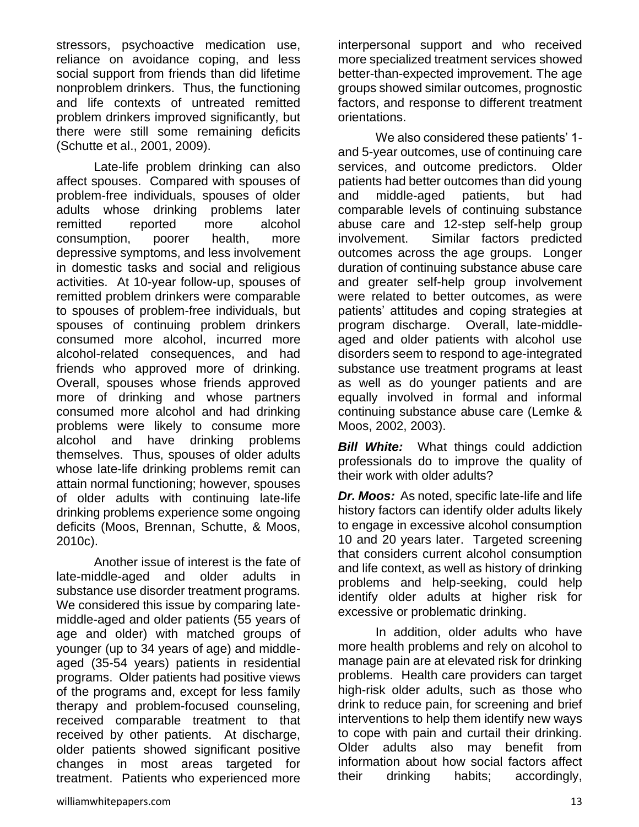stressors, psychoactive medication use, reliance on avoidance coping, and less social support from friends than did lifetime nonproblem drinkers. Thus, the functioning and life contexts of untreated remitted problem drinkers improved significantly, but there were still some remaining deficits (Schutte et al., 2001, 2009).

Late-life problem drinking can also affect spouses. Compared with spouses of problem-free individuals, spouses of older adults whose drinking problems later remitted reported more alcohol consumption, poorer health, more depressive symptoms, and less involvement in domestic tasks and social and religious activities. At 10-year follow-up, spouses of remitted problem drinkers were comparable to spouses of problem-free individuals, but spouses of continuing problem drinkers consumed more alcohol, incurred more alcohol-related consequences, and had friends who approved more of drinking. Overall, spouses whose friends approved more of drinking and whose partners consumed more alcohol and had drinking problems were likely to consume more alcohol and have drinking problems themselves. Thus, spouses of older adults whose late-life drinking problems remit can attain normal functioning; however, spouses of older adults with continuing late-life drinking problems experience some ongoing deficits (Moos, Brennan, Schutte, & Moos, 2010c).

Another issue of interest is the fate of late-middle-aged and older adults in substance use disorder treatment programs. We considered this issue by comparing latemiddle-aged and older patients (55 years of age and older) with matched groups of younger (up to 34 years of age) and middleaged (35-54 years) patients in residential programs. Older patients had positive views of the programs and, except for less family therapy and problem-focused counseling, received comparable treatment to that received by other patients. At discharge, older patients showed significant positive changes in most areas targeted for treatment. Patients who experienced more

interpersonal support and who received more specialized treatment services showed better-than-expected improvement. The age groups showed similar outcomes, prognostic factors, and response to different treatment orientations.

We also considered these patients' 1 and 5-year outcomes, use of continuing care services, and outcome predictors. Older patients had better outcomes than did young and middle-aged patients, but had comparable levels of continuing substance abuse care and 12-step self-help group involvement. Similar factors predicted outcomes across the age groups. Longer duration of continuing substance abuse care and greater self-help group involvement were related to better outcomes, as were patients' attitudes and coping strategies at program discharge. Overall, late-middleaged and older patients with alcohol use disorders seem to respond to age-integrated substance use treatment programs at least as well as do younger patients and are equally involved in formal and informal continuing substance abuse care (Lemke & Moos, 2002, 2003).

*Bill White:* What things could addiction professionals do to improve the quality of their work with older adults?

*Dr. Moos:* As noted, specific late-life and life history factors can identify older adults likely to engage in excessive alcohol consumption 10 and 20 years later. Targeted screening that considers current alcohol consumption and life context, as well as history of drinking problems and help-seeking, could help identify older adults at higher risk for excessive or problematic drinking.

In addition, older adults who have more health problems and rely on alcohol to manage pain are at elevated risk for drinking problems. Health care providers can target high-risk older adults, such as those who drink to reduce pain, for screening and brief interventions to help them identify new ways to cope with pain and curtail their drinking. Older adults also may benefit from information about how social factors affect their drinking habits; accordingly,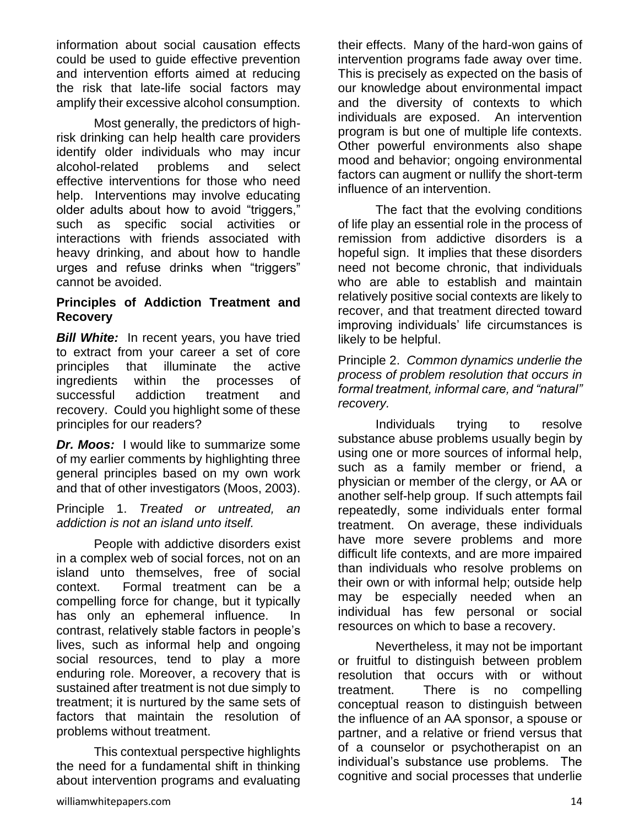information about social causation effects could be used to guide effective prevention and intervention efforts aimed at reducing the risk that late-life social factors may amplify their excessive alcohol consumption.

Most generally, the predictors of highrisk drinking can help health care providers identify older individuals who may incur alcohol-related problems and select effective interventions for those who need help. Interventions may involve educating older adults about how to avoid "triggers," such as specific social activities or interactions with friends associated with heavy drinking, and about how to handle urges and refuse drinks when "triggers" cannot be avoided.

## **Principles of Addiction Treatment and Recovery**

**Bill White:** In recent years, you have tried to extract from your career a set of core principles that illuminate the active ingredients within the processes of successful addiction treatment and recovery. Could you highlight some of these principles for our readers?

*Dr. Moos:* I would like to summarize some of my earlier comments by highlighting three general principles based on my own work and that of other investigators (Moos, 2003).

Principle 1. *Treated or untreated, an addiction is not an island unto itself.* 

People with addictive disorders exist in a complex web of social forces, not on an island unto themselves, free of social context. Formal treatment can be a compelling force for change, but it typically has only an ephemeral influence. In contrast, relatively stable factors in people's lives, such as informal help and ongoing social resources, tend to play a more enduring role. Moreover, a recovery that is sustained after treatment is not due simply to treatment; it is nurtured by the same sets of factors that maintain the resolution of problems without treatment.

This contextual perspective highlights the need for a fundamental shift in thinking about intervention programs and evaluating their effects. Many of the hard-won gains of intervention programs fade away over time. This is precisely as expected on the basis of our knowledge about environmental impact and the diversity of contexts to which individuals are exposed. An intervention program is but one of multiple life contexts. Other powerful environments also shape mood and behavior; ongoing environmental factors can augment or nullify the short-term influence of an intervention.

The fact that the evolving conditions of life play an essential role in the process of remission from addictive disorders is a hopeful sign. It implies that these disorders need not become chronic, that individuals who are able to establish and maintain relatively positive social contexts are likely to recover, and that treatment directed toward improving individuals' life circumstances is likely to be helpful.

Principle 2. *Common dynamics underlie the process of problem resolution that occurs in formal treatment, informal care, and "natural" recovery.* 

Individuals trying to resolve substance abuse problems usually begin by using one or more sources of informal help, such as a family member or friend, a physician or member of the clergy, or AA or another self-help group. If such attempts fail repeatedly, some individuals enter formal treatment. On average, these individuals have more severe problems and more difficult life contexts, and are more impaired than individuals who resolve problems on their own or with informal help; outside help may be especially needed when an individual has few personal or social resources on which to base a recovery.

Nevertheless, it may not be important or fruitful to distinguish between problem resolution that occurs with or without treatment. There is no compelling conceptual reason to distinguish between the influence of an AA sponsor, a spouse or partner, and a relative or friend versus that of a counselor or psychotherapist on an individual's substance use problems. The cognitive and social processes that underlie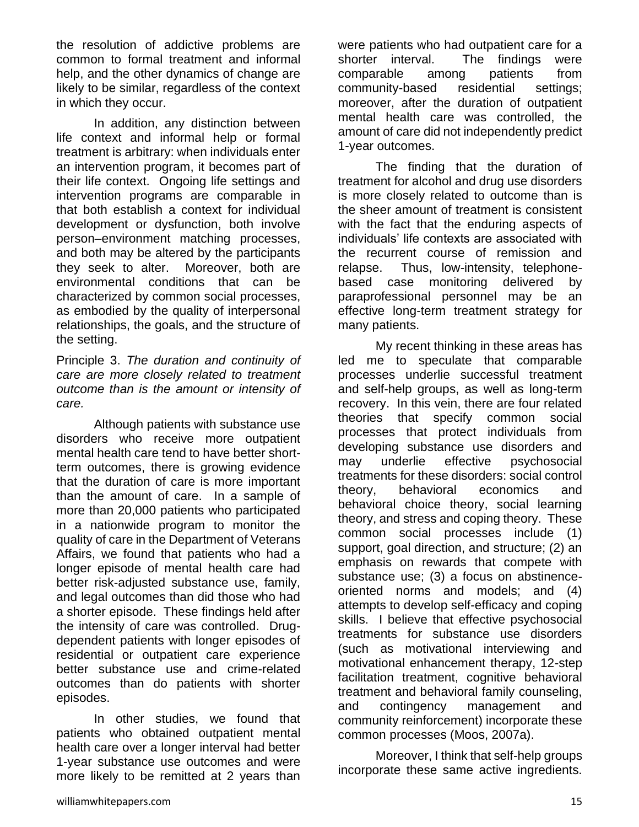the resolution of addictive problems are common to formal treatment and informal help, and the other dynamics of change are likely to be similar, regardless of the context in which they occur.

In addition, any distinction between life context and informal help or formal treatment is arbitrary: when individuals enter an intervention program, it becomes part of their life context. Ongoing life settings and intervention programs are comparable in that both establish a context for individual development or dysfunction, both involve person–environment matching processes, and both may be altered by the participants they seek to alter. Moreover, both are environmental conditions that can be characterized by common social processes, as embodied by the quality of interpersonal relationships, the goals, and the structure of the setting.

Principle 3. *The duration and continuity of care are more closely related to treatment outcome than is the amount or intensity of care.*

Although patients with substance use disorders who receive more outpatient mental health care tend to have better shortterm outcomes, there is growing evidence that the duration of care is more important than the amount of care. In a sample of more than 20,000 patients who participated in a nationwide program to monitor the quality of care in the Department of Veterans Affairs, we found that patients who had a longer episode of mental health care had better risk-adjusted substance use, family, and legal outcomes than did those who had a shorter episode. These findings held after the intensity of care was controlled. Drugdependent patients with longer episodes of residential or outpatient care experience better substance use and crime-related outcomes than do patients with shorter episodes.

In other studies, we found that patients who obtained outpatient mental health care over a longer interval had better 1-year substance use outcomes and were more likely to be remitted at 2 years than were patients who had outpatient care for a shorter interval. The findings were comparable among patients from community-based residential settings; moreover, after the duration of outpatient mental health care was controlled, the amount of care did not independently predict 1-year outcomes.

The finding that the duration of treatment for alcohol and drug use disorders is more closely related to outcome than is the sheer amount of treatment is consistent with the fact that the enduring aspects of individuals' life contexts are associated with the recurrent course of remission and relapse. Thus, low-intensity, telephonebased case monitoring delivered by paraprofessional personnel may be an effective long-term treatment strategy for many patients.

My recent thinking in these areas has led me to speculate that comparable processes underlie successful treatment and self-help groups, as well as long-term recovery. In this vein, there are four related theories that specify common social processes that protect individuals from developing substance use disorders and may underlie effective psychosocial treatments for these disorders: social control theory, behavioral economics and behavioral choice theory, social learning theory, and stress and coping theory. These common social processes include (1) support, goal direction, and structure; (2) an emphasis on rewards that compete with substance use; (3) a focus on abstinenceoriented norms and models; and (4) attempts to develop self-efficacy and coping skills. I believe that effective psychosocial treatments for substance use disorders (such as motivational interviewing and motivational enhancement therapy, 12-step facilitation treatment, cognitive behavioral treatment and behavioral family counseling, and contingency management and community reinforcement) incorporate these common processes (Moos, 2007a).

Moreover, I think that self-help groups incorporate these same active ingredients.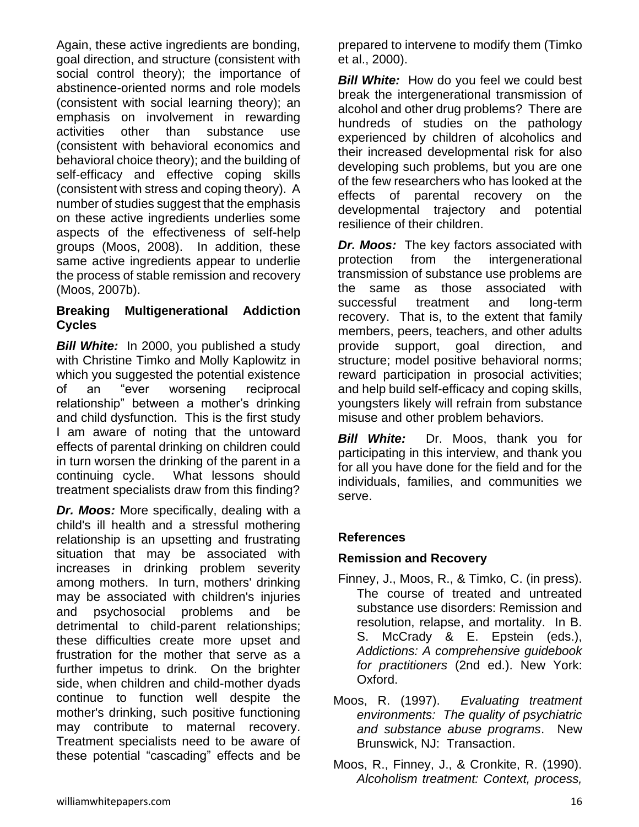Again, these active ingredients are bonding, goal direction, and structure (consistent with social control theory); the importance of abstinence-oriented norms and role models (consistent with social learning theory); an emphasis on involvement in rewarding activities other than substance use (consistent with behavioral economics and behavioral choice theory); and the building of self-efficacy and effective coping skills (consistent with stress and coping theory). A number of studies suggest that the emphasis on these active ingredients underlies some aspects of the effectiveness of self-help groups (Moos, 2008). In addition, these same active ingredients appear to underlie the process of stable remission and recovery (Moos, 2007b).

# **Breaking Multigenerational Addiction Cycles**

*Bill White:*In 2000, you published a study with Christine Timko and Molly Kaplowitz in which you suggested the potential existence of an "ever worsening reciprocal relationship" between a mother's drinking and child dysfunction. This is the first study I am aware of noting that the untoward effects of parental drinking on children could in turn worsen the drinking of the parent in a continuing cycle. What lessons should treatment specialists draw from this finding?

*Dr. Moos:* More specifically, dealing with a child's ill health and a stressful mothering relationship is an upsetting and frustrating situation that may be associated with increases in drinking problem severity among mothers. In turn, mothers' drinking may be associated with children's injuries and psychosocial problems and be detrimental to child-parent relationships; these difficulties create more upset and frustration for the mother that serve as a further impetus to drink. On the brighter side, when children and child-mother dyads continue to function well despite the mother's drinking, such positive functioning may contribute to maternal recovery. Treatment specialists need to be aware of these potential "cascading" effects and be

prepared to intervene to modify them (Timko et al., 2000).

**Bill White:** How do you feel we could best break the intergenerational transmission of alcohol and other drug problems? There are hundreds of studies on the pathology experienced by children of alcoholics and their increased developmental risk for also developing such problems, but you are one of the few researchers who has looked at the effects of parental recovery on the developmental trajectory and potential resilience of their children.

*Dr. Moos:* The key factors associated with protection from the intergenerational transmission of substance use problems are the same as those associated with successful treatment and long-term recovery. That is, to the extent that family members, peers, teachers, and other adults provide support, goal direction, and structure; model positive behavioral norms; reward participation in prosocial activities; and help build self-efficacy and coping skills, youngsters likely will refrain from substance misuse and other problem behaviors.

*Bill White:* Dr. Moos, thank you for participating in this interview, and thank you for all you have done for the field and for the individuals, families, and communities we serve.

# **References**

# **Remission and Recovery**

- Finney, J., Moos, R., & Timko, C. (in press). The course of treated and untreated substance use disorders: Remission and resolution, relapse, and mortality. In B. S. McCrady & E. Epstein (eds.), *Addictions: A comprehensive guidebook for practitioners* (2nd ed.). New York: Oxford.
- Moos, R. (1997). *Evaluating treatment environments: The quality of psychiatric and substance abuse programs*. New Brunswick, NJ: Transaction.
- Moos, R., Finney, J., & Cronkite, R. (1990). *Alcoholism treatment: Context, process,*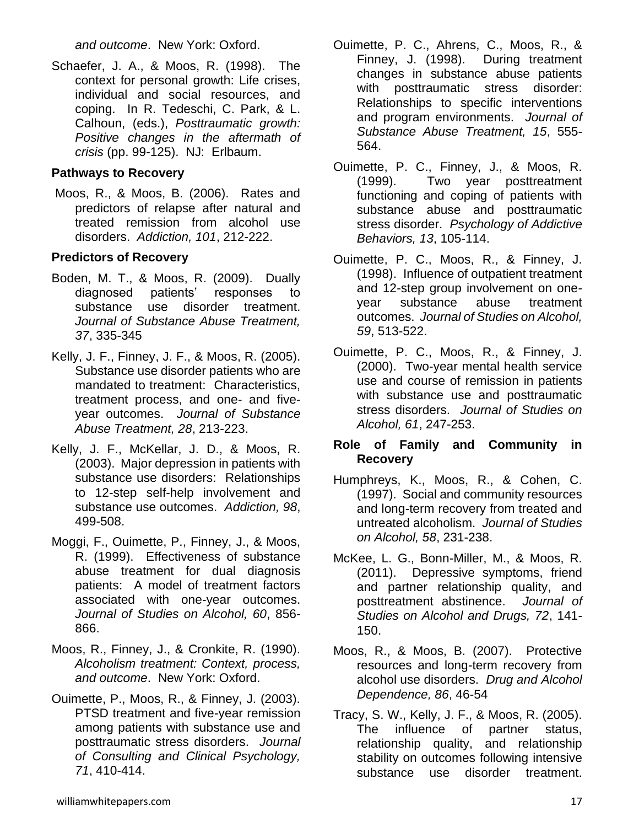*and outcome*. New York: Oxford.

Schaefer, J. A., & Moos, R. (1998). The context for personal growth: Life crises, individual and social resources, and coping. In R. Tedeschi, C. Park, & L. Calhoun, (eds.), *Posttraumatic growth: Positive changes in the aftermath of crisis* (pp. 99-125). NJ: Erlbaum.

## **Pathways to Recovery**

Moos, R., & Moos, B. (2006). Rates and predictors of relapse after natural and treated remission from alcohol use disorders. *Addiction, 101*, 212-222.

# **Predictors of Recovery**

- Boden, M. T., & Moos, R. (2009). Dually diagnosed patients' responses to substance use disorder treatment. *Journal of Substance Abuse Treatment, 37*, 335-345
- Kelly, J. F., Finney, J. F., & Moos, R. (2005). Substance use disorder patients who are mandated to treatment: Characteristics, treatment process, and one- and fiveyear outcomes. *Journal of Substance Abuse Treatment, 28*, 213-223.
- Kelly, J. F., McKellar, J. D., & Moos, R. (2003). Major depression in patients with substance use disorders: Relationships to 12-step self-help involvement and substance use outcomes. *Addiction, 98*, 499-508.
- Moggi, F., Ouimette, P., Finney, J., & Moos, R. (1999). Effectiveness of substance abuse treatment for dual diagnosis patients: A model of treatment factors associated with one-year outcomes. *Journal of Studies on Alcohol, 60*, 856- 866.
- Moos, R., Finney, J., & Cronkite, R. (1990). *Alcoholism treatment: Context, process, and outcome*. New York: Oxford.
- Ouimette, P., Moos, R., & Finney, J. (2003). PTSD treatment and five-year remission among patients with substance use and posttraumatic stress disorders. *Journal of Consulting and Clinical Psychology, 71*, 410-414.
- Ouimette, P. C., Ahrens, C., Moos, R., & Finney, J. (1998). During treatment changes in substance abuse patients with posttraumatic stress disorder: Relationships to specific interventions and program environments. *Journal of Substance Abuse Treatment, 15*, 555- 564.
- Ouimette, P. C., Finney, J., & Moos, R. (1999). Two year posttreatment functioning and coping of patients with substance abuse and posttraumatic stress disorder. *Psychology of Addictive Behaviors, 13*, 105-114.
- Ouimette, P. C., Moos, R., & Finney, J. (1998). Influence of outpatient treatment and 12-step group involvement on oneyear substance abuse treatment outcomes. *Journal of Studies on Alcohol, 59*, 513-522.
- Ouimette, P. C., Moos, R., & Finney, J. (2000). Two-year mental health service use and course of remission in patients with substance use and posttraumatic stress disorders. *Journal of Studies on Alcohol, 61*, 247-253.

## **Role of Family and Community in Recovery**

- Humphreys, K., Moos, R., & Cohen, C. (1997). Social and community resources and long-term recovery from treated and untreated alcoholism. *Journal of Studies on Alcohol, 58*, 231-238.
- McKee, L. G., Bonn-Miller, M., & Moos, R. (2011). Depressive symptoms, friend and partner relationship quality, and posttreatment abstinence. *Journal of Studies on Alcohol and Drugs, 72*, 141- 150.
- Moos, R., & Moos, B. (2007). Protective resources and long-term recovery from alcohol use disorders. *Drug and Alcohol Dependence, 86*, 46-54
- Tracy, S. W., Kelly, J. F., & Moos, R. (2005). The influence of partner status, relationship quality, and relationship stability on outcomes following intensive substance use disorder treatment.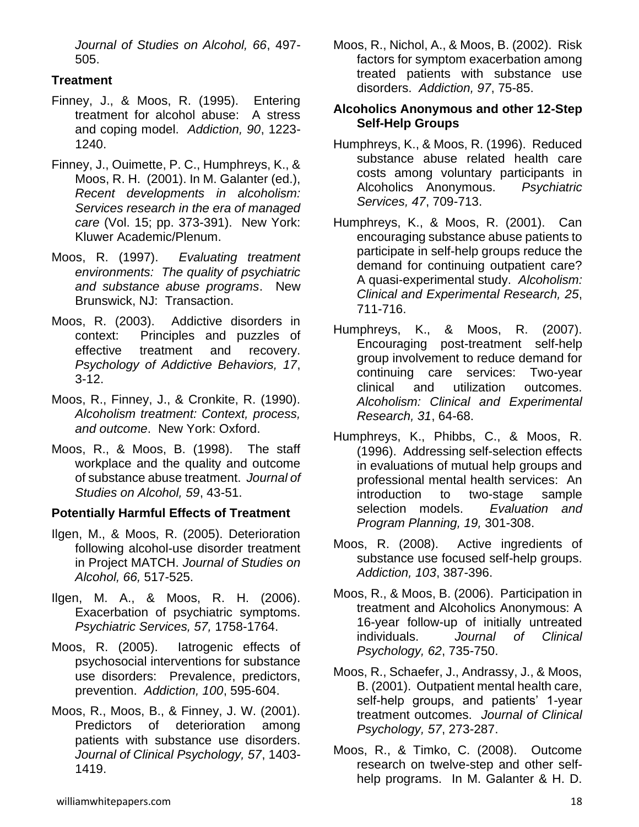*Journal of Studies on Alcohol, 66*, 497- 505.

# **Treatment**

- Finney, J., & Moos, R. (1995). Entering treatment for alcohol abuse: A stress and coping model. *Addiction, 90*, 1223- 1240.
- Finney, J., Ouimette, P. C., Humphreys, K., & Moos, R. H. (2001). In M. Galanter (ed.), *Recent developments in alcoholism: Services research in the era of managed care* (Vol. 15; pp. 373-391). New York: Kluwer Academic/Plenum.
- Moos, R. (1997). *Evaluating treatment environments: The quality of psychiatric and substance abuse programs*. New Brunswick, NJ: Transaction.
- Moos, R. (2003). Addictive disorders in context: Principles and puzzles of effective treatment and recovery. *Psychology of Addictive Behaviors, 17*, 3-12.
- Moos, R., Finney, J., & Cronkite, R. (1990). *Alcoholism treatment: Context, process, and outcome*. New York: Oxford.
- Moos, R., & Moos, B. (1998). The staff workplace and the quality and outcome of substance abuse treatment. *Journal of Studies on Alcohol, 59*, 43-51.

# **Potentially Harmful Effects of Treatment**

- Ilgen, M., & Moos, R. (2005). Deterioration following alcohol-use disorder treatment in Project MATCH. *Journal of Studies on Alcohol, 66,* 517-525.
- Ilgen, M. A., & Moos, R. H. (2006). Exacerbation of psychiatric symptoms. *Psychiatric Services, 57,* 1758-1764.
- Moos, R. (2005). Iatrogenic effects of psychosocial interventions for substance use disorders: Prevalence, predictors, prevention. *Addiction, 100*, 595-604.
- Moos, R., Moos, B., & Finney, J. W. (2001). Predictors of deterioration among patients with substance use disorders. *Journal of Clinical Psychology, 57*, 1403- 1419.

Moos, R., Nichol, A., & Moos, B. (2002). Risk factors for symptom exacerbation among treated patients with substance use disorders. *Addiction, 97*, 75-85.

## **Alcoholics Anonymous and other 12-Step Self-Help Groups**

- Humphreys, K., & Moos, R. (1996). Reduced substance abuse related health care costs among voluntary participants in Alcoholics Anonymous. *Psychiatric Services, 47*, 709-713.
- Humphreys, K., & Moos, R. (2001). Can encouraging substance abuse patients to participate in self-help groups reduce the demand for continuing outpatient care? A quasi-experimental study. *Alcoholism: Clinical and Experimental Research, 25*, 711-716.
- Humphreys, K., & Moos, R. (2007). Encouraging post-treatment self-help group involvement to reduce demand for continuing care services: Two-year clinical and utilization outcomes. *Alcoholism: Clinical and Experimental Research, 31*, 64-68.
- Humphreys, K., Phibbs, C., & Moos, R. (1996). Addressing self-selection effects in evaluations of mutual help groups and professional mental health services: An introduction to two-stage sample selection models. *Evaluation and Program Planning, 19,* 301-308.
- Moos, R. (2008). Active ingredients of substance use focused self-help groups. *Addiction, 103*, 387-396.
- Moos, R., & Moos, B. (2006). Participation in treatment and Alcoholics Anonymous: A 16-year follow-up of initially untreated individuals. *Journal of Clinical Psychology, 62*, 735-750.
- Moos, R., Schaefer, J., Andrassy, J., & Moos, B. (2001). Outpatient mental health care, self-help groups, and patients' 1-year treatment outcomes. *Journal of Clinical Psychology, 57*, 273-287.
- Moos, R., & Timko, C. (2008). Outcome research on twelve-step and other selfhelp programs. In M. Galanter & H. D.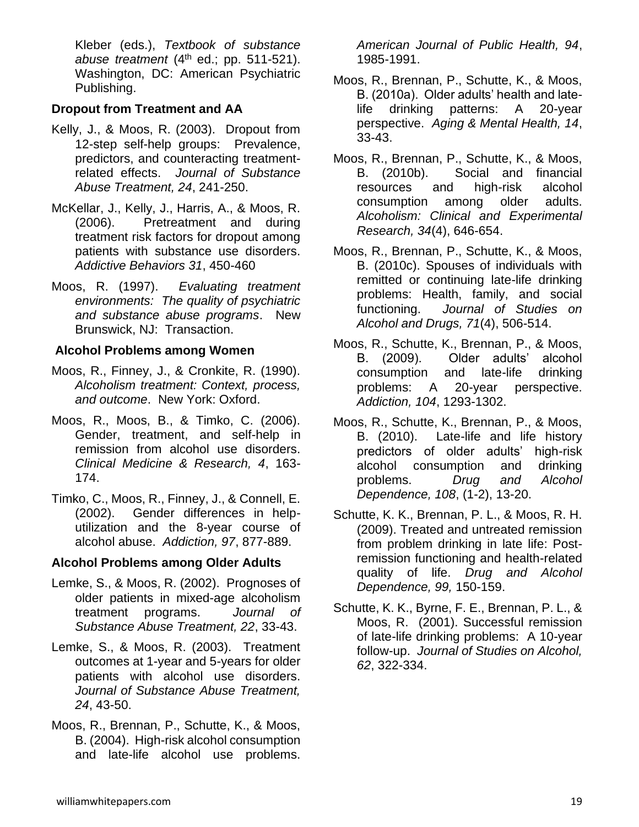Kleber (eds.), *Textbook of substance abuse treatment*  $(4<sup>th</sup>$  ed.; pp. 511-521). Washington, DC: American Psychiatric Publishing.

## **Dropout from Treatment and AA**

- Kelly, J., & Moos, R. (2003). Dropout from 12-step self-help groups: Prevalence, predictors, and counteracting treatmentrelated effects. *Journal of Substance Abuse Treatment, 24*, 241-250.
- McKellar, J., Kelly, J., Harris, A., & Moos, R. (2006). Pretreatment and during treatment risk factors for dropout among patients with substance use disorders. *Addictive Behaviors 31*, 450-460
- Moos, R. (1997). *Evaluating treatment environments: The quality of psychiatric and substance abuse programs*. New Brunswick, NJ: Transaction.

## **Alcohol Problems among Women**

- Moos, R., Finney, J., & Cronkite, R. (1990). *Alcoholism treatment: Context, process, and outcome*. New York: Oxford.
- Moos, R., Moos, B., & Timko, C. (2006). Gender, treatment, and self-help in remission from alcohol use disorders. *Clinical Medicine & Research, 4*, 163- 174.
- Timko, C., Moos, R., Finney, J., & Connell, E. (2002). Gender differences in helputilization and the 8-year course of alcohol abuse. *Addiction, 97*, 877-889.

# **Alcohol Problems among Older Adults**

- Lemke, S., & Moos, R. (2002). Prognoses of older patients in mixed-age alcoholism treatment programs. *Journal of Substance Abuse Treatment, 22*, 33-43.
- Lemke, S., & Moos, R. (2003). Treatment outcomes at 1-year and 5-years for older patients with alcohol use disorders. *Journal of Substance Abuse Treatment, 24*, 43-50.
- Moos, R., Brennan, P., Schutte, K., & Moos, B. (2004). High-risk alcohol consumption and late-life alcohol use problems.

*American Journal of Public Health, 94*, 1985-1991.

- Moos, R., Brennan, P., Schutte, K., & Moos, B. (2010a). Older adults' health and latelife drinking patterns: A 20-year perspective. *Aging & Mental Health, 14*, 33-43.
- Moos, R., Brennan, P., Schutte, K., & Moos, B. (2010b). Social and financial resources and high-risk alcohol consumption among older adults. *Alcoholism: Clinical and Experimental Research, 34*(4), 646-654.
- Moos, R., Brennan, P., Schutte, K., & Moos, B. (2010c). Spouses of individuals with remitted or continuing late-life drinking problems: Health, family, and social functioning. *Journal of Studies on Alcohol and Drugs, 71*(4), 506-514.
- Moos, R., Schutte, K., Brennan, P., & Moos, B. (2009). Older adults' alcohol consumption and late-life drinking problems: A 20-year perspective. *Addiction, 104*, 1293-1302.
- Moos, R., Schutte, K., Brennan, P., & Moos, B. (2010). Late-life and life history predictors of older adults' high-risk alcohol consumption and drinking problems. *Drug and Alcohol Dependence, 108*, (1-2), 13-20.
- Schutte, K. K., Brennan, P. L., & Moos, R. H. (2009). Treated and untreated remission from problem drinking in late life: Postremission functioning and health-related quality of life. *Drug and Alcohol Dependence, 99,* 150-159.
- Schutte, K. K., Byrne, F. E., Brennan, P. L., & Moos, R. (2001). Successful remission of late-life drinking problems: A 10-year follow-up. *Journal of Studies on Alcohol, 62*, 322-334.